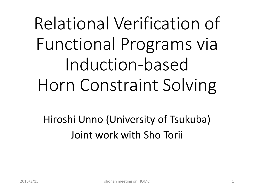# Relational Verification of Functional Programs via Induction-based Horn Constraint Solving

Hiroshi Unno (University of Tsukuba) Joint work with Sho Torii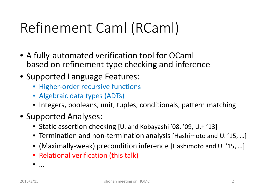## Refinement Caml (RCaml)

- A fully-automated verification tool for OCaml based on refinement type checking and inference
- Supported Language Features:
	- Higher-order recursive functions
	- Algebraic data types (ADTs)
	- Integers, booleans, unit, tuples, conditionals, pattern matching
- Supported Analyses:
	- Static assertion checking [U. and Kobayashi '08, '09, U.+ '13]
	- Termination and non-termination analysis [Hashimoto and U. '15, …]
	- (Maximally-weak) precondition inference [Hashimoto and U. '15, …]
	- Relational verification (this talk)

• …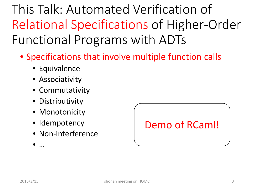This Talk: Automated Verification of Relational Specifications of Higher-Order Functional Programs with ADTs

- Specifications that involve multiple function calls
	- Equivalence
	- Associativity
	- Commutativity
	- Distributivity
	- Monotonicity
	- Idempotency
	- Non-interference

Demo of RCaml!

• …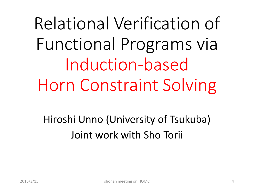Relational Verification of Functional Programs via Induction-based Horn Constraint Solving

Hiroshi Unno (University of Tsukuba) Joint work with Sho Torii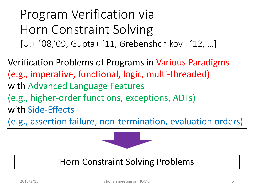Program Verification via Horn Constraint Solving [U.+ '08, '09, Gupta+ '11, Grebenshchikov+ '12, …]

Verification Problems of Programs in Various Paradigms (e.g., imperative, functional, logic, multi-threaded) with Advanced Language Features (e.g., higher-order functions, exceptions, ADTs) with Side-Effects (e.g., assertion failure, non-termination, evaluation orders)



#### Horn Constraint Solving Problems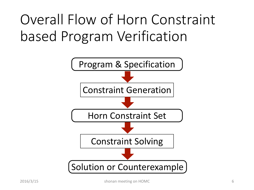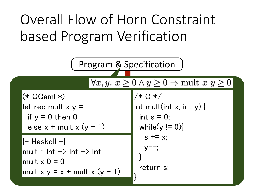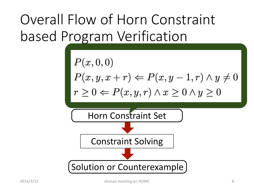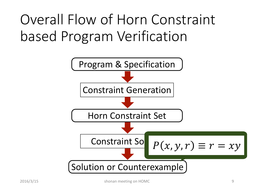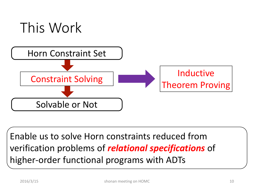

Enable us to solve Horn constraints reduced from verification problems of *relational specifications* of higher-order functional programs with ADTs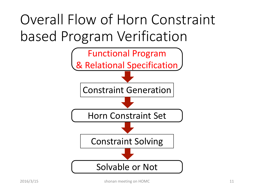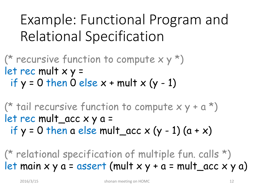## Example: Functional Program and Relational Specification

(\* recursive function to compute  $x y *$ ) let rec mult x y = if  $y = 0$  then 0 else  $x + \text{mult} x (y - 1)$ 

(\* tail recursive function to compute  $x y + a^*$ ) let rec mult\_acc x y a = if  $y = 0$  then a else mult\_acc  $x (y - 1) (a + x)$ 

(\* relational specification of multiple fun. calls \*) let main  $x \ y \ a = assert$  (mult  $x \ y + a = mult\_acc \ x \ y \ a)$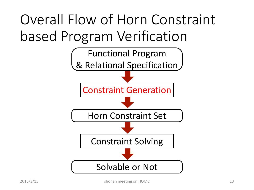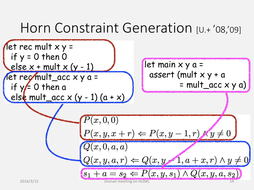## Horn Constraint Generation [U.+'08,'09]

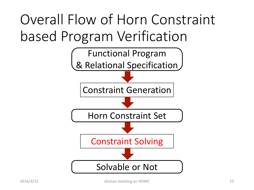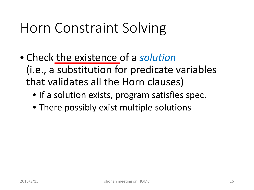### Horn Constraint Solving

- Check the existence of a *solution* (i.e., a substitution for predicate variables that validates all the Horn clauses)
	- If a solution exists, program satisfies spec.
	- There possibly exist multiple solutions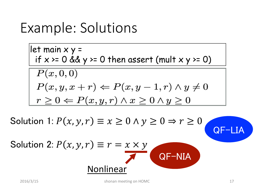#### Example: Solutions

let main x y =  
\nif x >= 0 & y >= 0 then assert (mult x y >= 0)  
\n
$$
\boxed{P(x,0,0)}
$$
\n
$$
P(x,y,x+r) \Leftarrow P(x,y-1,r) \land y \neq 0
$$
\n
$$
r \geq 0 \Leftarrow P(x,y,r) \land x \geq 0 \land y \geq 0
$$

Solution 1:  $P(x, y, r) \equiv x \ge 0 \land y \ge 0 \Rightarrow r \ge 0$ 

Solution 2: 
$$
P(x, y, r) \equiv r = x \times y
$$
  
\nNonlinear QF-NIA

QF-LIA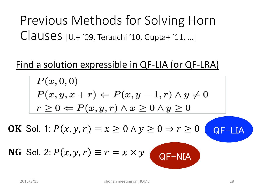#### Previous Methods for Solving Horn Clauses [U.+ '09, Terauchi '10, Gupta+ '11, …]

#### Find a solution expressible in QF-LIA (or QF-LRA)

$$
P(x, 0, 0)
$$
  
\n
$$
P(x, y, x + r) \Leftarrow P(x, y - 1, r) \land y \neq 0
$$
  
\n
$$
r \geq 0 \Leftarrow P(x, y, r) \land x \geq 0 \land y \geq 0
$$
  
\nOK Sol. 1:  $P(x, y, r) \equiv x \geq 0 \land y \geq 0 \Rightarrow r \geq 0$  QF-LIA  
\nNG Sol. 2:  $P(x, y, r) \equiv r = x \times y$  QF-NIA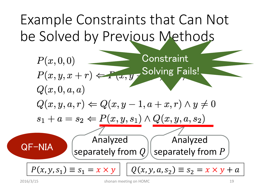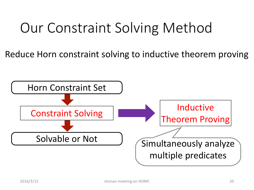## Our Constraint Solving Method

Reduce Horn constraint solving to inductive theorem proving

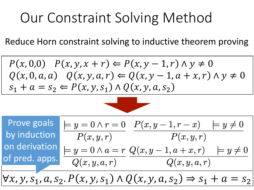## Our Constraint Solving Method

Reduce Horn constraint solving to inductive theorem proving

$$
P(x, 0, 0) \quad P(x, y, x + r) \Leftarrow P(x, y - 1, r) \land y \neq 0
$$
  
 
$$
Q(x, 0, a, a) \quad Q(x, y, a, r) \Leftarrow Q(x, y - 1, a + x, r) \land y \neq 0
$$
  
 
$$
s_1 + a = s_2 \Leftarrow P(x, y, s_1) \land Q(x, y, a, s_2)
$$



Prove goals  $= y = 0 \wedge r = 0$   $P(x, y - 1, r - x) = y \neq 0$ by induction  $P(x, y, r)$   $P(x, y, r)$ on derivation  $= y = 0 \wedge a = r \ Q(x, y - 1, a + x, r) \quad = y \neq 0$ of pred. apps.  $Q(x, y, a, r)$  $Q(x, y, a, r)$  $\forall x, y, s_1, a, s_2. P(x, y, s_1) \wedge Q(x, y, a, s_2) \Rightarrow s_1 + a = s_2$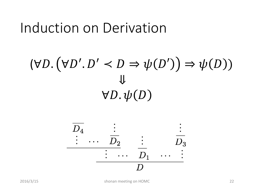#### Induction on Derivation

### $(\forall D. (\forall D'. D' \prec D \Rightarrow \psi(D')) \Rightarrow \psi(D))$ ⇓  $\forall D.\psi(D)$

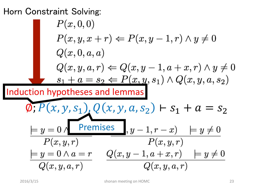#### Horn Constraint Solving:

$$
P(x,0,0)
$$
  
\n
$$
P(x,y,x+r) \Leftarrow P(x,y-1,r) \land y \neq 0
$$
  
\n
$$
Q(x,0,a,a)
$$
  
\n
$$
Q(x,y,a,r) \Leftarrow Q(x,y-1,a+x,r) \land y \neq 0
$$
  
\n
$$
s_1 + a = s_2 \Leftarrow P(x,y,s_1) \land Q(x,y,a,s_2)
$$
  
\nInduction hypotheses and lemmas  
\n
$$
Q, P(x,y,s_1), Q(x,y,a,s_2) \vdash s_1 + a = s_2
$$
  
\n
$$
\frac{\models y=0}{P(x,y,r)} \qquad \frac{Premises}{P(x,y,r)} \qquad P(x,y,r)
$$
  
\n
$$
\frac{\models y=0 \land a=r}{Q(x,y,a,r)} \qquad \frac{Q(x,y-1,a+x,r)}{Q(x,y,a,r)} \models y \neq 0
$$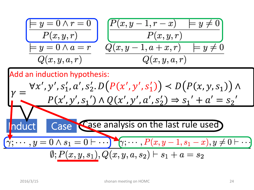$$
\frac{\begin{array}{|c|c|} \hline y=0 \wedge r=0 \\ \hline P(x,y,r) \\\hline y=0 \wedge a=r \\ \hline Q(x,y,a,r) \\\hline \end{array}}{\begin{array}{|c|c|} \hline P(x,y-1,r-x) & \hline P(x,y,r) \\ \hline Q(x,y-1,a+x,r) & \hline P(y \neq 0 \\ \hline Q(x,y,a,r) \\\hline \end{array}}
$$

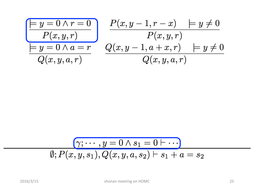$$
\frac{\begin{array}{|c|c|} \hline \hline y=0 \wedge r=0 \\\hline P(x,y,r) \\\hline y=0 \wedge a=r \\\hline Q(x,y,a,r) \\\hline \end{array}} \quad \frac{P(x,y-1,r-x) \quad \begin{array}{|c|} \hline P(x,y,r) \\\hline P(x,y,r) \\\hline Q(x,y,a,r) \\\hline \end{array}}{\text{ }\qquad \begin{array}{|c|c|} \hline Q(x,y,a,r) \\\hline \end{array}} \quad \frac{P(x,y-1,r-x) \quad \begin{array}{|c|} \hline P(x,y,c) \\\hline Q(x,y,a,r) \\\hline \end{array}}{\text{ }\qquad \begin{array}{|c|c|} \hline Q(x,y,a,r) \\\hline \end{array}}
$$

$$
\boxed{\gamma;\cdots,y=0\land s_1=0\vdash\cdots}
$$
  

$$
\emptyset; P(x,y,s_1), Q(x,y,a,s_2)\vdash s_1+a=s_2
$$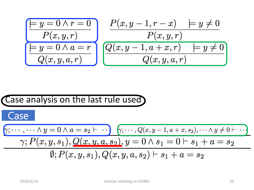$$
\frac{\begin{array}{|c|c|} \hline y=0 \land r=0 & P(x,y-1,r-x) & \models y \neq 0 \\ \hline P(x,y,r) & P(x,y,r) \\ \hline Q(x,y,a,r) & Q(x,y,a,r) & \hline Q(x,y,a,r) \end{array}
$$

Case  
\nCase  
\n
$$
\begin{array}{ll}\n\text{Case} \\
\hline\n\gamma; \cdots, \cdots \wedge y = 0 \wedge a = s_2 \vdash \cdots) & \gamma; \cdots, Q(x, y - 1, a + x, s_2), \cdots \wedge y \neq 0 \vdash \cdots \\
\hline\n\gamma; P(x, y, s_1), Q(x, y, a, s_2), y = 0 \wedge s_1 = 0 \vdash s_1 + a = s_2 \\
\hline\n\emptyset; P(x, y, s_1), Q(x, y, a, s_2) \vdash s_1 + a = s_2\n\end{array}
$$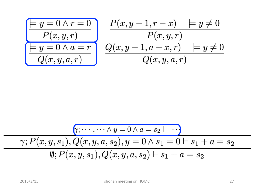$$
\begin{array}{|c|c|} \hline \hline y = 0 \land r = 0 & P(x, y - 1, r - x) & \models y \neq 0 \\ \hline P(x, y, r) & P(x, y, r) & \\ \hline Q(x, y, a, r) & Q(x, y - 1, a + x, r) & \models y \neq 0 \\ \hline \end{array}
$$

$$
\frac{(\gamma; \cdots, \cdots \land y = 0 \land a = s_2 \vdash \ \cdot \cdot)}{\gamma; P(x, y, s_1), Q(x, y, a, s_2), y = 0 \land s_1 = 0 \vdash s_1 + a = s_2}
$$
\n
$$
\emptyset; P(x, y, s_1), Q(x, y, a, s_2) \vdash s_1 + a = s_2
$$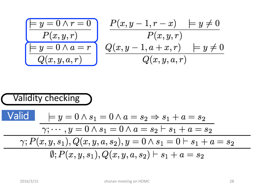$$
\frac{\begin{array}{|c|c|} \hline \hline y=0 \wedge r=0 \\\hline P(x,y,r) \\\hline y=0 \wedge a=r \\\hline Q(x,y,a,r) \\\hline \end{array}} \quad \frac{P(x,y-1,r-x) \quad \begin{array}{|c|} \hline y \neq 0 \\\hline P(x,y,r) \\\hline Q(x,y,a,r) \\\hline \end{array}}{\text{ }\quad Q(x,y,a,r) \quad \frac{Q(x,y,a,r)}{\text{ }\quad Q(x,y,a,r)}
$$

Valid

\n
$$
\begin{array}{ll}\n\text{Valid} & \models y = 0 \land s_1 = 0 \land a = s_2 \Rightarrow s_1 + a = s_2 \\
\hline\n\gamma; \dots, y = 0 \land s_1 = 0 \land a = s_2 \vdash s_1 + a = s_2 \\
\hline\n\gamma; P(x, y, s_1), Q(x, y, a, s_2), y = 0 \land s_1 = 0 \vdash s_1 + a = s_2 \\
\hline\n\emptyset; P(x, y, s_1), Q(x, y, a, s_2) \vdash s_1 + a = s_2\n\end{array}
$$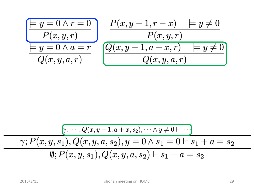$$
\frac{\begin{array}{|c|c|} \hline y=0 \wedge r=0 & P(x,y-1,r-x) & \models y \neq 0 \\ \hline P(x,y,r) & P(x,y,r) \\ \hline Q(x,y,a,r) & Q(x,y,a,r) & \hline \end{array}
$$

$$
\overbrace{\gamma; P(x,y,s_1), Q(x,y,a,s_2), y=0 \land s_1=0 \vdash s_1 + a=s_2}_{\emptyset; P(x,y,s_1), Q(x,y,s_1), Q(x,y,a,s_2) \vdash s_1 + a=s_2}
$$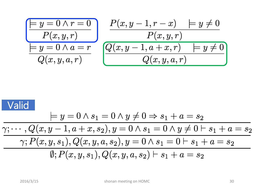$$
\frac{\begin{array}{|c|c|} \hline \hline &p(y=0 \land r=0) & P(x,y-1,r-x) & \hline &p(x,y,r) \\ \hline &P(x,y,r) & P(x,y,r) & \hline \hline &Q(x,y,a,r) & \hline &Q(x,y,a,r) & \hline \hline \hline \end{array}
$$

$$
\frac{\text{Valid}}{\gamma; \cdots, Q(x, y - 1, a + x, s_2), y = 0 \land s_1 + a = s_2} \times \frac{\gamma; \cdots, Q(x, y - 1, a + x, s_2), y = 0 \land s_1 = 0 \land y \neq 0 \vdash s_1 + a = s_2} \times \frac{\gamma; P(x, y, s_1), Q(x, y, a, s_2), y = 0 \land s_1 = 0 \vdash s_1 + a = s_2} \emptyset; P(x, y, s_1), Q(x, y, a, s_2) \vdash s_1 + a = s_2}
$$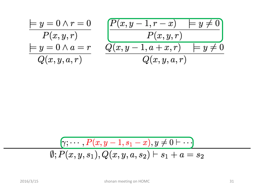$$
\frac{\models y = 0 \land r = 0 \quad P(x, y, -1, r - x) \quad \middle| \quad y \neq 0}{P(x, y, r)} \newline \frac{\models y = 0 \land a = r \quad Q(x, y - 1, a + x, r) \quad \middle| \quad y \neq 0}{Q(x, y, a, r)} \newline
$$

$$
\overbrace{\emptyset; P(x,y,s_1), Q(x,y,a,s_2) \vdash s_1 + a = s_2}^{\boxed{\gamma; \cdots, P(x,y-1,s_1-x), y \neq 0 \vdash \cdots}
$$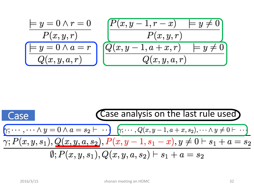$$
\frac{y = 0 \land r = 0 \quad P(x, y, -1, r - x) \quad y \neq 0}{P(x, y, r)}
$$
\n
$$
\frac{y = 0 \land a = r \quad Q(x, y - 1, a + x, r) \quad y \neq 0}{Q(x, y, a, r)}
$$

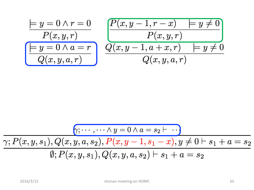$$
\frac{y = 0 \land r = 0 \quad P(x, y, r) \quad P(x, y, r)}{P(x, y, r)} \quad \frac{P(x, y - 1, r - x) \quad y \neq 0}{P(x, y, r)} \quad \frac{Q(x, y - 1, a + x, r) \quad y \neq 0}{Q(x, y, a, r)}
$$

$$
\frac{\gamma; P(x, y, s_1), Q(x, y, a, s_2), P(x, y - 1, s_1 - x), y \neq 0 \vdash s_1 + a = s_2}{\emptyset; P(x, y, s_1), Q(x, y, a, s_2) \vdash s_1 + a = s_2}
$$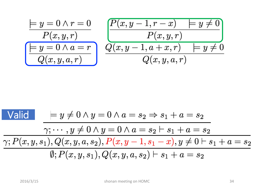$$
\frac{y = 0 \land r = 0 \quad P(x, y, r) \quad P(x, y, r)}{P(x, y, r)} \quad \frac{P(x, y - 1, r - x) \quad y \neq 0}{P(x, y, r)} \quad \frac{Q(x, y - 1, a + x, r) \quad y \neq 0}{Q(x, y, a, r)}
$$

$$
\begin{array}{|c|c|} \hline \text{Valid} & \models y \neq 0 \land y = 0 \land a = s_2 \Rightarrow s_1 + a = s_2 \\ \hline \hline \gamma; \dots, y \neq 0 \land y = 0 \land a = s_2 \vdash s_1 + a = s_2 \\ \hline \gamma; P(x, y, s_1), Q(x, y, a, s_2), P(x, y - 1, s_1 - x), y \neq 0 \vdash s_1 + a = s_2 \\ \hline \emptyset; P(x, y, s_1), Q(x, y, a, s_2) \vdash s_1 + a = s_2 \hline \end{array}
$$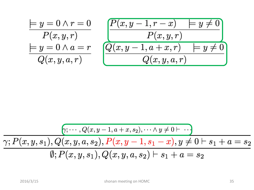$$
\frac{\models y = 0 \land r = 0 \quad P(x, y, r) \quad P(x, y, r)}{P(x, y, r)} \quad \frac{P(x, y - 1, r - x) \quad \middle| \quad y \neq 0 \quad P(x, y, r) \quad P(x, y, r) \quad P(x, y, r) \quad P(y \neq 0 \quad Q(x, y, a, r))}
$$

$$
\overbrace{\gamma ; P(x,y,s_1), Q(x,y,a,s_2), P(x,y-a,s_1) + \cdots \atop \emptyset; P(x,y,s_1), Q(x,y,s_1), Q(x,y,a,s_2) \vdash s_1 + a = s_2}^{\qquad \qquad \gamma ; P(x,y,s_1), Q(x,y,a,s_2) \vdash s_1 + a = s_2}
$$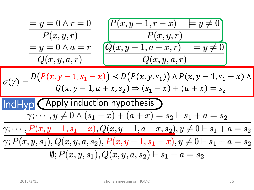$$
\frac{y}{y} = 0 \land r = 0 \quad P(x, y, r)
$$
\n
$$
y = y = 0 \land a = r
$$
\n
$$
Q(x, y, a, r)
$$
\n
$$
Q(x, y, a, r)
$$
\n
$$
Q(x, y, a, r)
$$
\n
$$
Q(x, y, a, r)
$$
\n
$$
Q(x, y, a, r)
$$
\n
$$
Q(x, y, a, r)
$$
\n
$$
Q(x, y, a, r)
$$
\n
$$
Q(x, y, a, r)
$$
\n
$$
Q(x, y, a, r)
$$
\n
$$
Q(x, y, a, r)
$$
\n
$$
Q(x, y, a, r)
$$
\n
$$
Q(x, y, a, r)
$$
\n
$$
Q(x, y, a, r)
$$
\n
$$
Q(x, y, a, r)
$$
\n
$$
Q(x, y, a, r)
$$
\n
$$
Q(x, y, a, r)
$$
\n
$$
Q(x, y, a, r)
$$
\n
$$
Q(x, y, a, r)
$$
\n
$$
Q(x, y, a, r)
$$
\n
$$
Q(x, y, a, r)
$$
\n
$$
Q(x, y, a, r)
$$
\n
$$
Q(x, y, a, r)
$$
\n
$$
Q(x, y, a, r)
$$
\n
$$
Q(x, y, a, r)
$$
\n
$$
Q(x, y, a, r)
$$
\n
$$
Q(x, y, a, r)
$$
\n
$$
Q(x, y, a, r)
$$
\n
$$
Q(x, y, a, r)
$$
\n
$$
Q(x, y, a, r)
$$
\n
$$
Q(x, y, a, r)
$$
\n
$$
Q(x, y, a, r)
$$
\n
$$
Q(x, y, a, r)
$$
\n
$$
Q(x, y, a, r)
$$
\n
$$
Q(x, y, a, r)
$$
\n
$$
Q(x, y, a, r)
$$
\n
$$
Q(x, y, a, r)
$$
\n
$$
Q(x, y, a, r)
$$
\n
$$
Q(x, y, a, r)
$$
\n
$$
Q(x, y, a, r)
$$
\n
$$
Q(x,
$$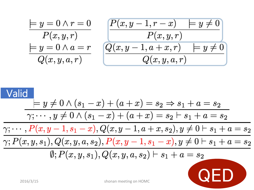$$
\frac{\models y = 0 \land r = 0}{P(x, y, r)} \qquad \frac{P(x, y - 1, r - x) \quad \middle| \quad y \neq 0}{P(x, y, r)}
$$
\n
$$
\frac{\models y = 0 \land a = r}{Q(x, y, a, r)} \qquad \frac{Q(x, y - 1, a + x, r) \quad \middle| \quad y \neq 0}{Q(x, y, a, r)}
$$

$$
\begin{array}{c|c} \hline \text{Valic} & = & y \neq 0 \wedge (s_1 - x) + (a + x) = s_2 \Rightarrow s_1 + a = s_2 \\ \hline \hline \gamma; \cdots, y \neq 0 \wedge (s_1 - x) + (a + x) = s_2 \vdash s_1 + a = s_2 \\ \hline \gamma; \cdots, P(x, y - 1, s_1 - x), Q(x, y - 1, a + x, s_2), y \neq 0 \vdash s_1 + a = s_2 \\ \hline \gamma; P(x, y, s_1), Q(x, y, a, s_2), P(x, y - 1, s_1 - x), y \neq 0 \vdash s_1 + a = s_2 \\ \hline \emptyset; P(x, y, s_1), Q(x, y, a, s_2) \vdash s_1 + a = s_2 \\ \hline \text{SVDM} & \text{SDDM} & \text{SDDM} & \text{SDDM} & \text{SDDM} \end{array}
$$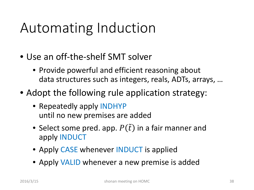## Automating Induction

- Use an off-the-shelf SMT solver
	- Provide powerful and efficient reasoning about data structures such as integers, reals, ADTs, arrays, …
- Adopt the following rule application strategy:
	- Repeatedly apply INDHYP until no new premises are added
	- Select some pred. app.  $P(\tilde{t})$  in a fair manner and apply INDUCT
	- Apply CASE whenever **INDUCT** is applied
	- Apply VALID whenever a new premise is added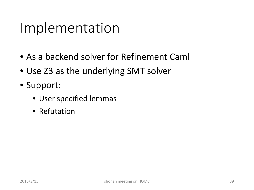#### Implementation

- As a backend solver for Refinement Caml
- Use Z3 as the underlying SMT solver
- Support:
	- User specified lemmas
	- Refutation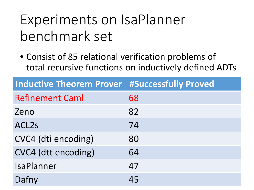## Experiments on IsaPlanner benchmark set

• Consist of 85 relational verification problems of total recursive functions on inductively defined ADTs

| <b>Inductive Theorem Prover   #Successfully Proved</b> |    |
|--------------------------------------------------------|----|
| <b>Refinement Caml</b>                                 | 68 |
| Zeno                                                   | 82 |
| ACL <sub>2s</sub>                                      | 74 |
| CVC4 (dti encoding)                                    | 80 |
| CVC4 (dtt encoding)                                    | 64 |
| <b>IsaPlanner</b>                                      | 47 |
| Dafny                                                  | 45 |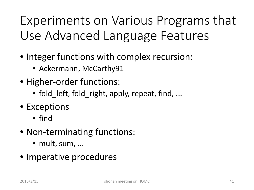Experiments on Various Programs that Use Advanced Language Features

- Integer functions with complex recursion:
	- Ackermann, McCarthy91
- Higher-order functions:
	- fold left, fold right, apply, repeat, find, ...
- Exceptions
	- find
- Non-terminating functions:
	- mult, sum, …
- Imperative procedures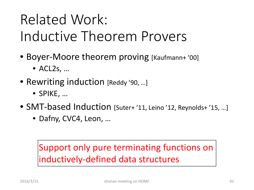## Related Work: Inductive Theorem Provers

- Boyer-Moore theorem proving [Kaufmann+'00]
	- $\bullet$  ACL2s, ...
- Rewriting induction [Reddy '90, ...]
	- SPIKE, …
- SMT-based Induction [Suter+ '11, Leino '12, Reynolds+ '15, …]
	- Dafny, CVC4, Leon, …

#### Support only pure terminating functions on inductively-defined data structures